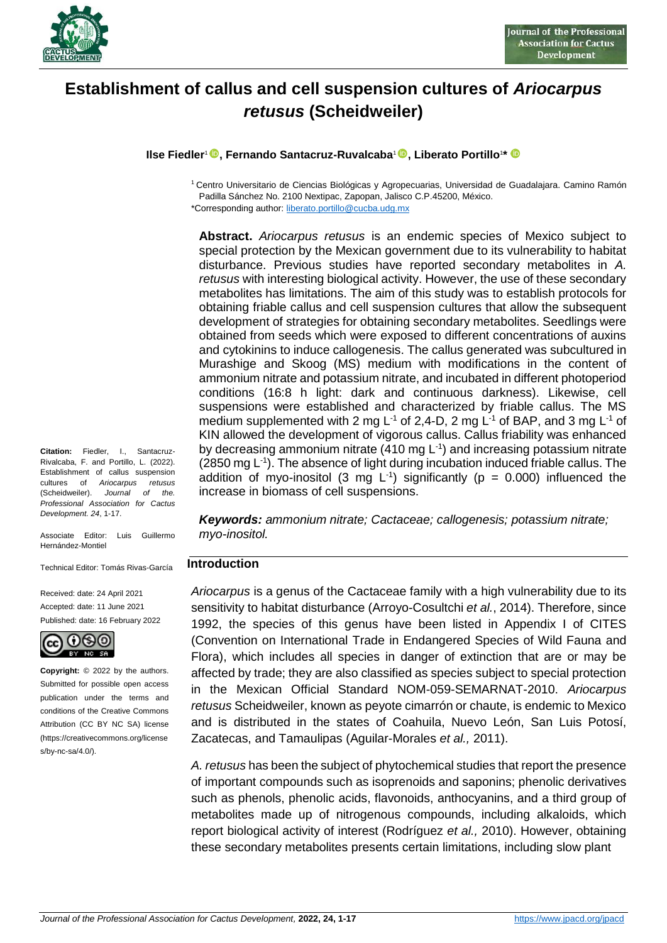

# **Establishment of callus and cell suspension cultures of** *Ariocarpus retusus* **(Scheidweiler)**

**Ilse Fiedler**<sup>1</sup> **, Fernando Santacruz-Ruvalcaba**<sup>1</sup> **, Liberato Portillo**<sup>1</sup> **\***

<sup>1</sup> Centro Universitario de Ciencias Biológicas y Agropecuarias, Universidad de Guadalajara. Camino Ramón Padilla Sánchez No. 2100 Nextipac, Zapopan, Jalisco C.P.45200, México.

\*Corresponding author[: liberato.portillo@cucba.udg.mx](mailto:liberato.portillo@cucba.udg.mx)

**Abstract.** *Ariocarpus retusus* is an endemic species of Mexico subject to special protection by the Mexican government due to its vulnerability to habitat disturbance. Previous studies have reported secondary metabolites in *A. retusus* with interesting biological activity. However, the use of these secondary metabolites has limitations. The aim of this study was to establish protocols for obtaining friable callus and cell suspension cultures that allow the subsequent development of strategies for obtaining secondary metabolites. Seedlings were obtained from seeds which were exposed to different concentrations of auxins and cytokinins to induce callogenesis. The callus generated was subcultured in Murashige and Skoog (MS) medium with modifications in the content of ammonium nitrate and potassium nitrate, and incubated in different photoperiod conditions (16:8 h light: dark and continuous darkness). Likewise, cell suspensions were established and characterized by friable callus. The MS medium supplemented with 2 mg L<sup>-1</sup> of 2,4-D, 2 mg L<sup>-1</sup> of BAP, and 3 mg L<sup>-1</sup> of KIN allowed the development of vigorous callus. Callus friability was enhanced by decreasing ammonium nitrate  $(410 \text{ mg L}^{-1})$  and increasing potassium nitrate (2850 mg L<sup>-1</sup>). The absence of light during incubation induced friable callus. The addition of myo-inositol (3 mg  $L^{-1}$ ) significantly ( $p = 0.000$ ) influenced the increase in biomass of cell suspensions.

*Keywords: ammonium nitrate; Cactaceae; callogenesis; potassium nitrate; myo-inositol.*

### **Introduction**

*Ariocarpus* is a genus of the Cactaceae family with a high vulnerability due to its sensitivity to habitat disturbance (Arroyo-Cosultchi *et al.*, 2014). Therefore, since 1992, the species of this genus have been listed in Appendix I of CITES (Convention on International Trade in Endangered Species of Wild Fauna and Flora), which includes all species in danger of extinction that are or may be affected by trade; they are also classified as species subject to special protection in the Mexican Official Standard NOM-059-SEMARNAT-2010. *Ariocarpus retusus* Scheidweiler, known as peyote cimarrón or chaute, is endemic to Mexico and is distributed in the states of Coahuila, Nuevo León, San Luis Potosí, Zacatecas, and Tamaulipas (Aguilar-Morales *et al.,* 2011).

*A. retusus* has been the subject of phytochemical studies that report the presence of important compounds such as isoprenoids and saponins; phenolic derivatives such as phenols, phenolic acids, flavonoids, anthocyanins, and a third group of metabolites made up of nitrogenous compounds, including alkaloids, which report biological activity of interest (Rodríguez *et al.,* 2010). However, obtaining these secondary metabolites presents certain limitations, including slow plant

**Citation:** Fiedler, I., Santacruz-Rivalcaba, F. and Portillo, L. (2022). Establishment of callus suspension cultures of *Ariocarpus retusus* (Scheidweiler). *Journal of the. Professional Association for Cactus Development. 24*, 1-17.

Associate Editor: Luis Guillermo Hernández-Montiel

Technical Editor: Tomás Rivas-García

Received: date: 24 April 2021 Accepted: date: 11 June 2021 Published: date: 16 February 2022



**Copyright:** © 2022 by the authors. Submitted for possible open access publication under the terms and conditions of the Creative Commons Attribution (CC BY NC SA) license (https://creativecommons.org/license s/by-nc-sa/4.0/).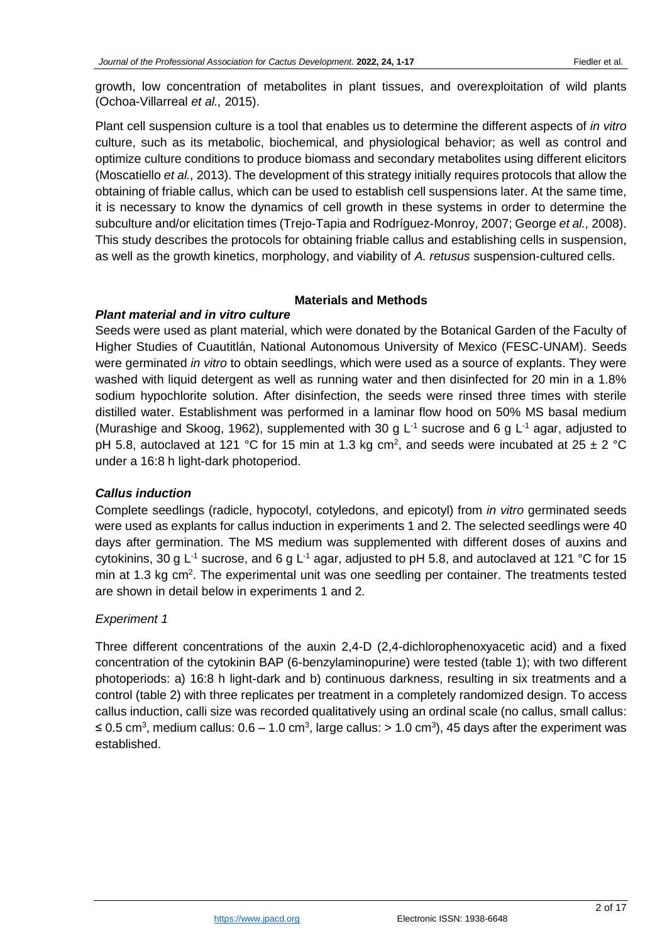growth, low concentration of metabolites in plant tissues, and overexploitation of wild plants (Ochoa-Villarreal *et al.,* 2015).

Plant cell suspension culture is a tool that enables us to determine the different aspects of *in vitro* culture, such as its metabolic, biochemical, and physiological behavior; as well as control and optimize culture conditions to produce biomass and secondary metabolites using different elicitors (Moscatiello *et al.,* 2013). The development of this strategy initially requires protocols that allow the obtaining of friable callus, which can be used to establish cell suspensions later. At the same time, it is necessary to know the dynamics of cell growth in these systems in order to determine the subculture and/or elicitation times (Trejo-Tapia and Rodríguez-Monroy, 2007; George *et al.,* 2008). This study describes the protocols for obtaining friable callus and establishing cells in suspension, as well as the growth kinetics, morphology, and viability of *A. retusus* suspension-cultured cells.

#### **Materials and Methods**

#### *Plant material and in vitro culture*

Seeds were used as plant material, which were donated by the Botanical Garden of the Faculty of Higher Studies of Cuautitlán, National Autonomous University of Mexico (FESC-UNAM). Seeds were germinated *in vitro* to obtain seedlings, which were used as a source of explants. They were washed with liquid detergent as well as running water and then disinfected for 20 min in a 1.8% sodium hypochlorite solution. After disinfection, the seeds were rinsed three times with sterile distilled water. Establishment was performed in a laminar flow hood on 50% MS basal medium (Murashige and Skoog, 1962), supplemented with 30 g  $L^{-1}$  sucrose and 6 g  $L^{-1}$  agar, adjusted to pH 5.8, autoclaved at 121 °C for 15 min at 1.3 kg cm<sup>2</sup>, and seeds were incubated at 25  $\pm$  2 °C under a 16:8 h light-dark photoperiod.

### *Callus induction*

Complete seedlings (radicle, hypocotyl, cotyledons, and epicotyl) from *in vitro* germinated seeds were used as explants for callus induction in experiments 1 and 2. The selected seedlings were 40 days after germination. The MS medium was supplemented with different doses of auxins and cytokinins, 30 g L<sup>-1</sup> sucrose, and 6 g L<sup>-1</sup> agar, adjusted to pH 5.8, and autoclaved at 121 °C for 15 min at 1.3 kg cm<sup>2</sup>. The experimental unit was one seedling per container. The treatments tested are shown in detail below in experiments 1 and 2.

### *Experiment 1*

Three different concentrations of the auxin 2,4-D (2,4-dichlorophenoxyacetic acid) and a fixed concentration of the cytokinin BAP (6-benzylaminopurine) were tested (table 1); with two different photoperiods: a) 16:8 h light-dark and b) continuous darkness, resulting in six treatments and a control (table 2) with three replicates per treatment in a completely randomized design. To access callus induction, calli size was recorded qualitatively using an ordinal scale (no callus, small callus: ≤ 0.5 cm<sup>3</sup>, medium callus: 0.6 – 1.0 cm<sup>3</sup>, large callus: > 1.0 cm<sup>3</sup>), 45 days after the experiment was established.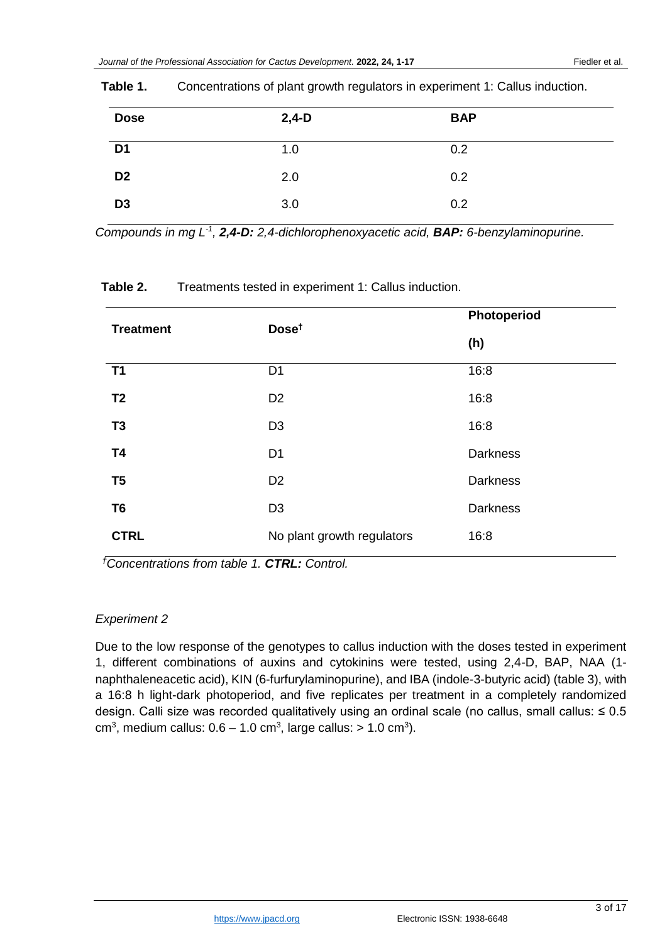| <b>Dose</b>    | $2,4-D$ | <b>BAP</b> |  |
|----------------|---------|------------|--|
| D <sub>1</sub> | 1.0     | 0.2        |  |
| D <sub>2</sub> | 2.0     | 0.2        |  |
| D <sub>3</sub> | 3.0     | 0.2        |  |

## **Table 1.** Concentrations of plant growth regulators in experiment 1: Callus induction.

*Compounds in mg L -1 , 2,4-D: 2,4-dichlorophenoxyacetic acid, BAP: 6-benzylaminopurine.*

| <b>Treatment</b> | Dose <sup>t</sup>          | Photoperiod     |
|------------------|----------------------------|-----------------|
|                  |                            | (h)             |
| <b>T1</b>        | D <sub>1</sub>             | 16:8            |
| T <sub>2</sub>   | D <sub>2</sub>             | 16:8            |
| T <sub>3</sub>   | D <sub>3</sub>             | 16:8            |
| <b>T4</b>        | D <sub>1</sub>             | <b>Darkness</b> |
| T <sub>5</sub>   | D <sub>2</sub>             | Darkness        |
| T <sub>6</sub>   | D <sub>3</sub>             | <b>Darkness</b> |
| <b>CTRL</b>      | No plant growth regulators | 16:8            |

### **Table 2.** Treatments tested in experiment 1: Callus induction.

*†Concentrations from table 1. CTRL: Control.*

# *Experiment 2*

Due to the low response of the genotypes to callus induction with the doses tested in experiment 1, different combinations of auxins and cytokinins were tested, using 2,4-D, BAP, NAA (1 naphthaleneacetic acid), KIN (6-furfurylaminopurine), and IBA (indole-3-butyric acid) (table 3), with a 16:8 h light-dark photoperiod, and five replicates per treatment in a completely randomized design. Calli size was recorded qualitatively using an ordinal scale (no callus, small callus: ≤ 0.5 cm<sup>3</sup>, medium callus:  $0.6 - 1.0$  cm<sup>3</sup>, large callus:  $> 1.0$  cm<sup>3</sup>).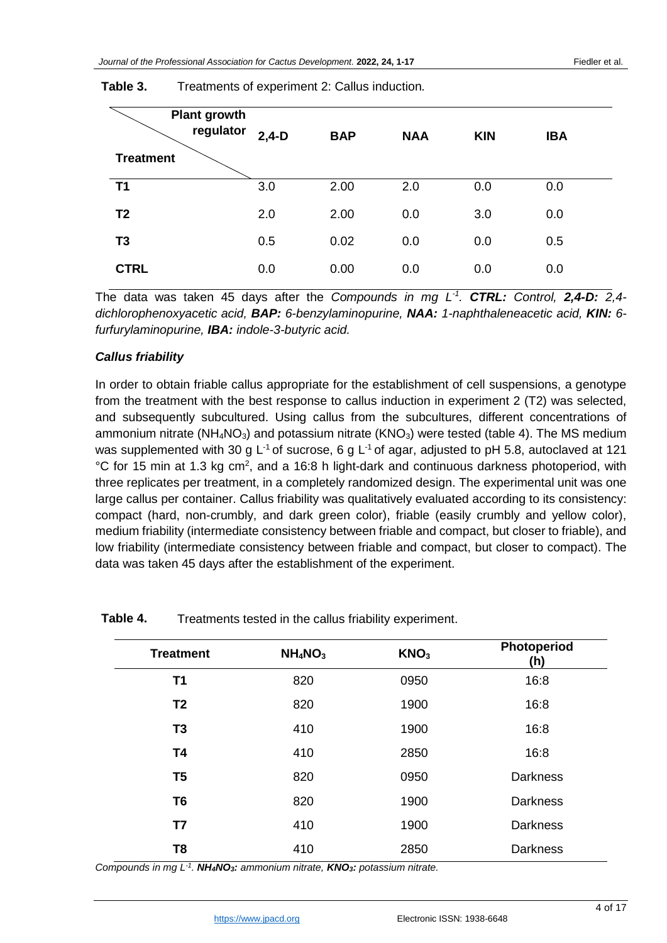| <b>Plant growth</b><br>regulator<br><b>Treatment</b> | $2,4-D$ | <b>BAP</b> | <b>NAA</b> | <b>KIN</b> | <b>IBA</b> |  |
|------------------------------------------------------|---------|------------|------------|------------|------------|--|
| <b>T1</b>                                            | 3.0     | 2.00       | 2.0        | 0.0        | 0.0        |  |
| T <sub>2</sub>                                       | 2.0     | 2.00       | 0.0        | 3.0        | 0.0        |  |
| T <sub>3</sub>                                       | 0.5     | 0.02       | 0.0        | 0.0        | 0.5        |  |
| <b>CTRL</b>                                          | 0.0     | 0.00       | 0.0        | 0.0        | 0.0        |  |

**Table 3.** Treatments of experiment 2: Callus induction*.*

The data was taken 45 days after the *Compounds in mg L -1 . CTRL: Control, 2,4-D: 2,4 dichlorophenoxyacetic acid, BAP: 6-benzylaminopurine, NAA: 1-naphthaleneacetic acid, KIN: 6 furfurylaminopurine, IBA: indole-3-butyric acid.*

#### *Callus friability*

In order to obtain friable callus appropriate for the establishment of cell suspensions, a genotype from the treatment with the best response to callus induction in experiment 2 (T2) was selected, and subsequently subcultured. Using callus from the subcultures, different concentrations of ammonium nitrate ( $NH<sub>4</sub>NO<sub>3</sub>$ ) and potassium nitrate ( $KNO<sub>3</sub>$ ) were tested (table 4). The MS medium was supplemented with 30 g L<sup>-1</sup> of sucrose, 6 g L<sup>-1</sup> of agar, adjusted to pH 5.8, autoclaved at 121 °C for 15 min at 1.3 kg cm<sup>2</sup>, and a 16:8 h light-dark and continuous darkness photoperiod, with three replicates per treatment, in a completely randomized design. The experimental unit was one large callus per container. Callus friability was qualitatively evaluated according to its consistency: compact (hard, non-crumbly, and dark green color), friable (easily crumbly and yellow color), medium friability (intermediate consistency between friable and compact, but closer to friable), and low friability (intermediate consistency between friable and compact, but closer to compact). The data was taken 45 days after the establishment of the experiment.

| <b>Treatment</b> | NH <sub>4</sub> NO <sub>3</sub> | KNO <sub>3</sub> | Photoperiod<br>(h) |
|------------------|---------------------------------|------------------|--------------------|
| T1               | 820                             | 0950             | 16:8               |
| T <sub>2</sub>   | 820                             | 1900             | 16:8               |
| T <sub>3</sub>   | 410                             | 1900             | 16:8               |
| <b>T4</b>        | 410                             | 2850             | 16:8               |
| T <sub>5</sub>   | 820                             | 0950             | <b>Darkness</b>    |
| T <sub>6</sub>   | 820                             | 1900             | <b>Darkness</b>    |
| T7               | 410                             | 1900             | <b>Darkness</b>    |
| T <sub>8</sub>   | 410                             | 2850             | <b>Darkness</b>    |

**Table 4.** Treatments tested in the callus friability experiment.

*Compounds in mg L -1 . NH4NO3: ammonium nitrate, KNO3: potassium nitrate.*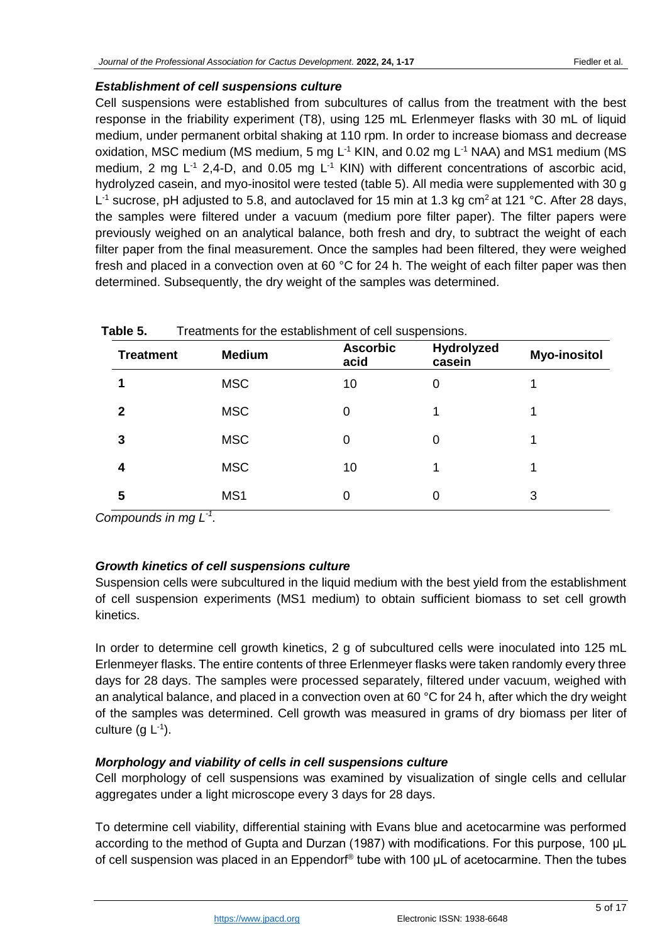# *Establishment of cell suspensions culture*

Cell suspensions were established from subcultures of callus from the treatment with the best response in the friability experiment (T8), using 125 mL Erlenmeyer flasks with 30 mL of liquid medium, under permanent orbital shaking at 110 rpm. In order to increase biomass and decrease oxidation, MSC medium (MS medium, 5 mg  $L^{-1}$  KIN, and 0.02 mg  $L^{-1}$  NAA) and MS1 medium (MS medium, 2 mg  $L^{-1}$  2,4-D, and 0.05 mg  $L^{-1}$  KIN) with different concentrations of ascorbic acid, hydrolyzed casein, and myo-inositol were tested (table 5). All media were supplemented with 30 g L<sup>-1</sup> sucrose, pH adjusted to 5.8, and autoclaved for 15 min at 1.3 kg cm<sup>2</sup> at 121 °C. After 28 days, the samples were filtered under a vacuum (medium pore filter paper). The filter papers were previously weighed on an analytical balance, both fresh and dry, to subtract the weight of each filter paper from the final measurement. Once the samples had been filtered, they were weighed fresh and placed in a convection oven at 60 °C for 24 h. The weight of each filter paper was then determined. Subsequently, the dry weight of the samples was determined.

| <b>Treatment</b> | <b>Medium</b> | <b>Ascorbic</b><br>acid | Hydrolyzed<br>casein | <b>Myo-inositol</b> |
|------------------|---------------|-------------------------|----------------------|---------------------|
|                  | <b>MSC</b>    | 10                      | 0                    |                     |
| 2                | <b>MSC</b>    |                         |                      |                     |
| 3                | <b>MSC</b>    |                         | 0                    |                     |
| 4                | <b>MSC</b>    | 10                      | 1                    |                     |
| 5                | MS1           |                         | 0                    | 3                   |

**Table 5.** Treatments for the establishment of cell suspensions.

Compounds in mg L<sup>-1</sup>.

# *Growth kinetics of cell suspensions culture*

Suspension cells were subcultured in the liquid medium with the best yield from the establishment of cell suspension experiments (MS1 medium) to obtain sufficient biomass to set cell growth kinetics.

In order to determine cell growth kinetics, 2 g of subcultured cells were inoculated into 125 mL Erlenmeyer flasks. The entire contents of three Erlenmeyer flasks were taken randomly every three days for 28 days. The samples were processed separately, filtered under vacuum, weighed with an analytical balance, and placed in a convection oven at 60  $^{\circ}$ C for 24 h, after which the dry weight of the samples was determined. Cell growth was measured in grams of dry biomass per liter of culture (g  $L^{-1}$ ).

# *Morphology and viability of cells in cell suspensions culture*

Cell morphology of cell suspensions was examined by visualization of single cells and cellular aggregates under a light microscope every 3 days for 28 days.

To determine cell viability, differential staining with Evans blue and acetocarmine was performed according to the method of Gupta and Durzan (1987) with modifications. For this purpose, 100 μL of cell suspension was placed in an Eppendorf<sup>®</sup> tube with 100  $\mu$ L of acetocarmine. Then the tubes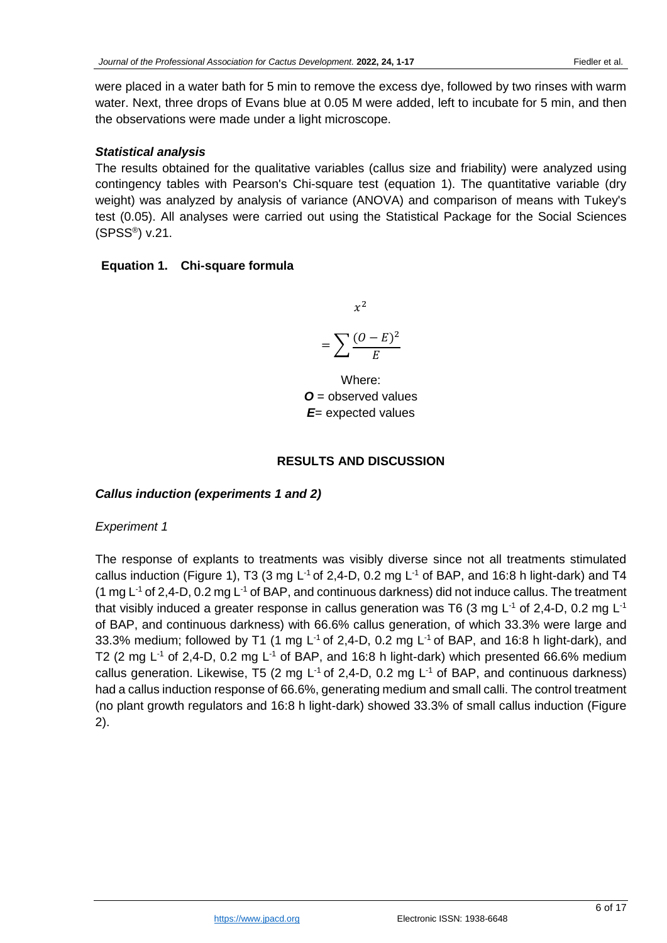were placed in a water bath for 5 min to remove the excess dye, followed by two rinses with warm water. Next, three drops of Evans blue at 0.05 M were added, left to incubate for 5 min, and then the observations were made under a light microscope.

# *Statistical analysis*

The results obtained for the qualitative variables (callus size and friability) were analyzed using contingency tables with Pearson's Chi-square test (equation 1). The quantitative variable (dry weight) was analyzed by analysis of variance (ANOVA) and comparison of means with Tukey's test (0.05). All analyses were carried out using the Statistical Package for the Social Sciences (SPSS® ) v.21.

# **Equation 1. Chi-square formula**

 $x^2$ 

$$
=\sum \frac{(O-E)^2}{E}
$$

Where: *O* = observed values *E*= expected values

### **RESULTS AND DISCUSSION**

# *Callus induction (experiments 1 and 2)*

### *Experiment 1*

The response of explants to treatments was visibly diverse since not all treatments stimulated callus induction (Figure 1), T3 (3 mg  $L^{-1}$  of 2,4-D, 0.2 mg  $L^{-1}$  of BAP, and 16:8 h light-dark) and T4 (1 mg  $L^{-1}$  of 2,4-D, 0.2 mg  $L^{-1}$  of BAP, and continuous darkness) did not induce callus. The treatment that visibly induced a greater response in callus generation was T6 (3 mg L<sup>-1</sup> of 2,4-D, 0.2 mg L<sup>-1</sup> of BAP, and continuous darkness) with 66.6% callus generation, of which 33.3% were large and 33.3% medium; followed by T1 (1 mg L<sup>-1</sup> of 2,4-D, 0.2 mg L<sup>-1</sup> of BAP, and 16:8 h light-dark), and T2 (2 mg  $L^{-1}$  of 2,4-D, 0.2 mg  $L^{-1}$  of BAP, and 16:8 h light-dark) which presented 66.6% medium callus generation. Likewise, T5 (2 mg  $L^{-1}$  of 2,4-D, 0.2 mg  $L^{-1}$  of BAP, and continuous darkness) had a callus induction response of 66.6%, generating medium and small calli. The control treatment (no plant growth regulators and 16:8 h light-dark) showed 33.3% of small callus induction (Figure 2).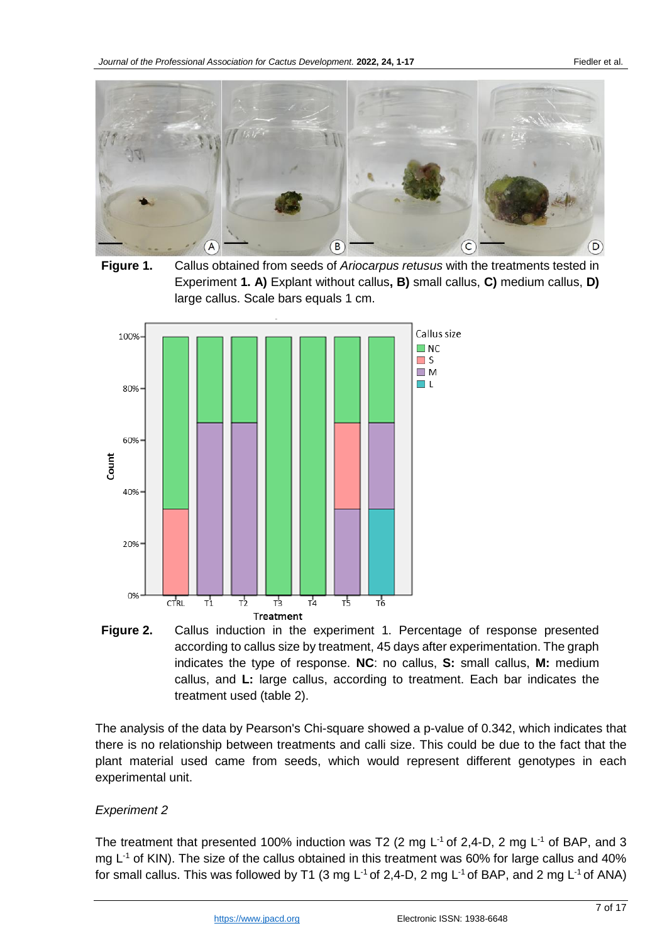

**Figure 1.** Callus obtained from seeds of *Ariocarpus retusus* with the treatments tested in Experiment **1. A)** Explant without callus**, B)** small callus, **C)** medium callus, **D)**  large callus. Scale bars equals 1 cm.



**Figure 2.** Callus induction in the experiment 1. Percentage of response presented according to callus size by treatment, 45 days after experimentation. The graph indicates the type of response. **NC**: no callus, **S:** small callus, **M:** medium callus, and **L:** large callus, according to treatment. Each bar indicates the treatment used (table 2).

The analysis of the data by Pearson's Chi-square showed a p-value of 0.342, which indicates that there is no relationship between treatments and calli size. This could be due to the fact that the plant material used came from seeds, which would represent different genotypes in each experimental unit.

#### *Experiment 2*

The treatment that presented 100% induction was T2 (2 mg  $L^{-1}$  of 2,4-D, 2 mg  $L^{-1}$  of BAP, and 3 mg L<sup>-1</sup> of KIN). The size of the callus obtained in this treatment was 60% for large callus and 40% for small callus. This was followed by T1 (3 mg  $L^{-1}$  of 2,4-D, 2 mg  $L^{-1}$  of BAP, and 2 mg  $L^{-1}$  of ANA)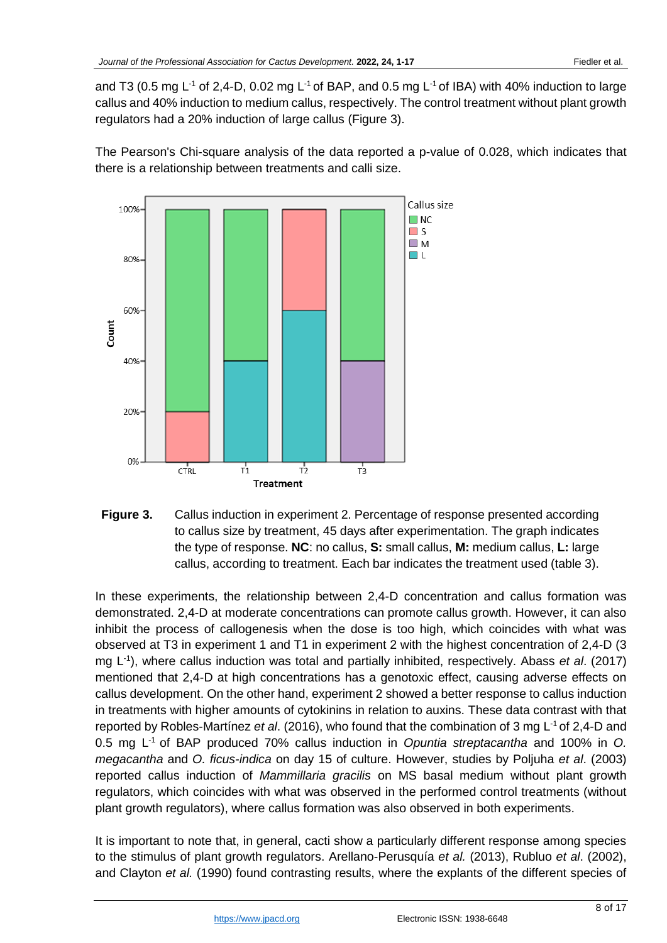and T3 (0.5 mg L<sup>-1</sup> of 2,4-D, 0.02 mg L<sup>-1</sup> of BAP, and 0.5 mg L<sup>-1</sup> of IBA) with 40% induction to large callus and 40% induction to medium callus, respectively. The control treatment without plant growth regulators had a 20% induction of large callus (Figure 3).

The Pearson's Chi-square analysis of the data reported a p-value of 0.028, which indicates that there is a relationship between treatments and calli size.



**Figure 3.** Callus induction in experiment 2. Percentage of response presented according to callus size by treatment, 45 days after experimentation. The graph indicates the type of response. **NC**: no callus, **S:** small callus, **M:** medium callus, **L:** large callus, according to treatment. Each bar indicates the treatment used (table 3).

In these experiments, the relationship between 2,4-D concentration and callus formation was demonstrated. 2,4-D at moderate concentrations can promote callus growth. However, it can also inhibit the process of callogenesis when the dose is too high, which coincides with what was observed at T3 in experiment 1 and T1 in experiment 2 with the highest concentration of 2,4-D (3 mg L -1 ), where callus induction was total and partially inhibited, respectively. Abass *et al*. (2017) mentioned that 2,4-D at high concentrations has a genotoxic effect, causing adverse effects on callus development. On the other hand, experiment 2 showed a better response to callus induction in treatments with higher amounts of cytokinins in relation to auxins. These data contrast with that reported by Robles-Martínez et al. (2016), who found that the combination of 3 mg L<sup>-1</sup> of 2,4-D and 0.5 mg L -1 of BAP produced 70% callus induction in *Opuntia streptacantha* and 100% in *O. megacantha* and *O. ficus-indica* on day 15 of culture. However, studies by Poljuha *et al*. (2003) reported callus induction of *Mammillaria gracilis* on MS basal medium without plant growth regulators, which coincides with what was observed in the performed control treatments (without plant growth regulators), where callus formation was also observed in both experiments.

It is important to note that, in general, cacti show a particularly different response among species to the stimulus of plant growth regulators. Arellano-Perusquía *et al.* (2013), Rubluo *et al*. (2002), and Clayton *et al.* (1990) found contrasting results, where the explants of the different species of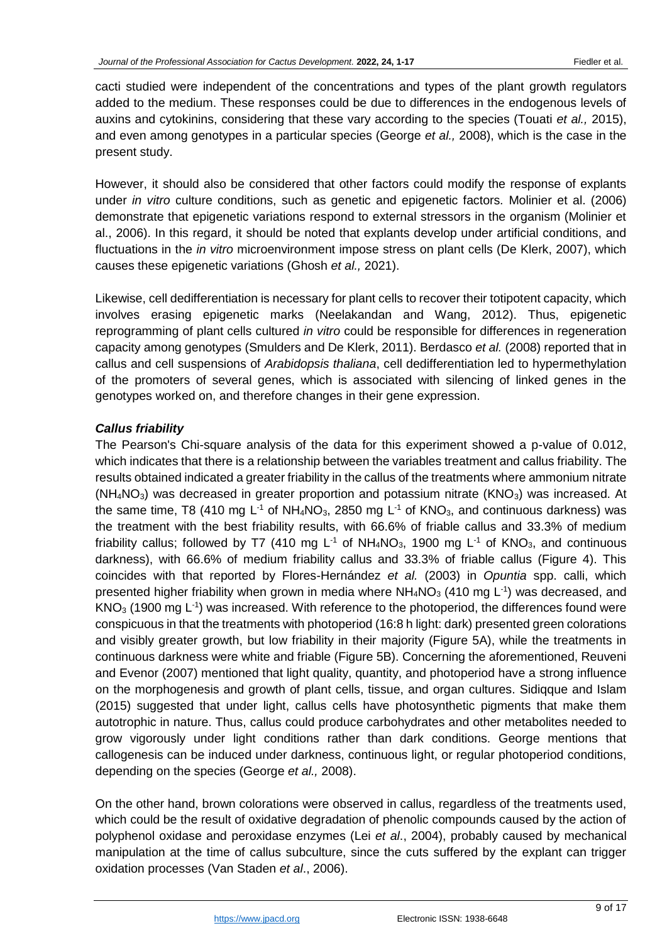cacti studied were independent of the concentrations and types of the plant growth regulators added to the medium. These responses could be due to differences in the endogenous levels of auxins and cytokinins, considering that these vary according to the species (Touati *et al.,* 2015), and even among genotypes in a particular species (George *et al.,* 2008), which is the case in the present study.

However, it should also be considered that other factors could modify the response of explants under *in vitro* culture conditions, such as genetic and epigenetic factors. Molinier et al. (2006) demonstrate that epigenetic variations respond to external stressors in the organism (Molinier et al., 2006). In this regard, it should be noted that explants develop under artificial conditions, and fluctuations in the *in vitro* microenvironment impose stress on plant cells (De Klerk, 2007), which causes these epigenetic variations (Ghosh *et al.,* 2021).

Likewise, cell dedifferentiation is necessary for plant cells to recover their totipotent capacity, which involves erasing epigenetic marks (Neelakandan and Wang, 2012). Thus, epigenetic reprogramming of plant cells cultured *in vitro* could be responsible for differences in regeneration capacity among genotypes (Smulders and De Klerk, 2011). Berdasco *et al.* (2008) reported that in callus and cell suspensions of *Arabidopsis thaliana*, cell dedifferentiation led to hypermethylation of the promoters of several genes, which is associated with silencing of linked genes in the genotypes worked on, and therefore changes in their gene expression.

# *Callus friability*

The Pearson's Chi-square analysis of the data for this experiment showed a p-value of 0.012, which indicates that there is a relationship between the variables treatment and callus friability. The results obtained indicated a greater friability in the callus of the treatments where ammonium nitrate  $(NH_4NO_3)$  was decreased in greater proportion and potassium nitrate  $(KNO_3)$  was increased. At the same time, T8 (410 mg  $L^{-1}$  of NH<sub>4</sub>NO<sub>3</sub>, 2850 mg  $L^{-1}$  of KNO<sub>3</sub>, and continuous darkness) was the treatment with the best friability results, with 66.6% of friable callus and 33.3% of medium friability callus; followed by T7 (410 mg L<sup>-1</sup> of NH<sub>4</sub>NO<sub>3</sub>, 1900 mg L<sup>-1</sup> of KNO<sub>3</sub>, and continuous darkness), with 66.6% of medium friability callus and 33.3% of friable callus (Figure 4). This coincides with that reported by Flores-Hernández *et al.* (2003) in *Opuntia* spp. calli, which presented higher friability when grown in media where  $NH_4NO_3$  (410 mg  $L^{-1}$ ) was decreased, and  $KNO<sub>3</sub>$  (1900 mg  $L<sup>-1</sup>$ ) was increased. With reference to the photoperiod, the differences found were conspicuous in that the treatments with photoperiod (16:8 h light: dark) presented green colorations and visibly greater growth, but low friability in their majority (Figure 5A), while the treatments in continuous darkness were white and friable (Figure 5B). Concerning the aforementioned, Reuveni and Evenor (2007) mentioned that light quality, quantity, and photoperiod have a strong influence on the morphogenesis and growth of plant cells, tissue, and organ cultures. Sidiqque and Islam (2015) suggested that under light, callus cells have photosynthetic pigments that make them autotrophic in nature. Thus, callus could produce carbohydrates and other metabolites needed to grow vigorously under light conditions rather than dark conditions. George mentions that callogenesis can be induced under darkness, continuous light, or regular photoperiod conditions, depending on the species (George *et al.,* 2008).

On the other hand, brown colorations were observed in callus, regardless of the treatments used, which could be the result of oxidative degradation of phenolic compounds caused by the action of polyphenol oxidase and peroxidase enzymes (Lei *et al*., 2004), probably caused by mechanical manipulation at the time of callus subculture, since the cuts suffered by the explant can trigger oxidation processes (Van Staden *et al*., 2006).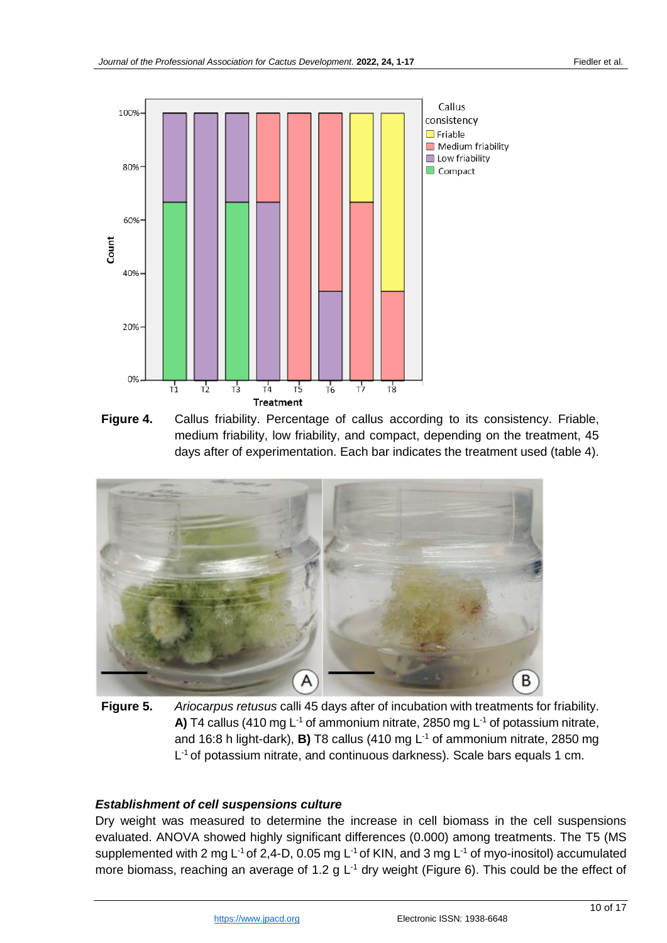

**Figure 4.** Callus friability. Percentage of callus according to its consistency. Friable, medium friability, low friability, and compact, depending on the treatment, 45 days after of experimentation. Each bar indicates the treatment used (table 4).



**Figure 5.** *Ariocarpus retusus* calli 45 days after of incubation with treatments for friability. A) T4 callus (410 mg  $L^{-1}$  of ammonium nitrate, 2850 mg  $L^{-1}$  of potassium nitrate, and 16:8 h light-dark), **B)** T8 callus (410 mg L<sup>-1</sup> of ammonium nitrate, 2850 mg L<sup>-1</sup> of potassium nitrate, and continuous darkness). Scale bars equals 1 cm.

#### *Establishment of cell suspensions culture*

Dry weight was measured to determine the increase in cell biomass in the cell suspensions evaluated. ANOVA showed highly significant differences (0.000) among treatments. The T5 (MS supplemented with 2 mg L<sup>-1</sup> of 2,4-D, 0.05 mg L<sup>-1</sup> of KIN, and 3 mg L<sup>-1</sup> of myo-inositol) accumulated more biomass, reaching an average of 1.2 g  $L^{-1}$  dry weight (Figure 6). This could be the effect of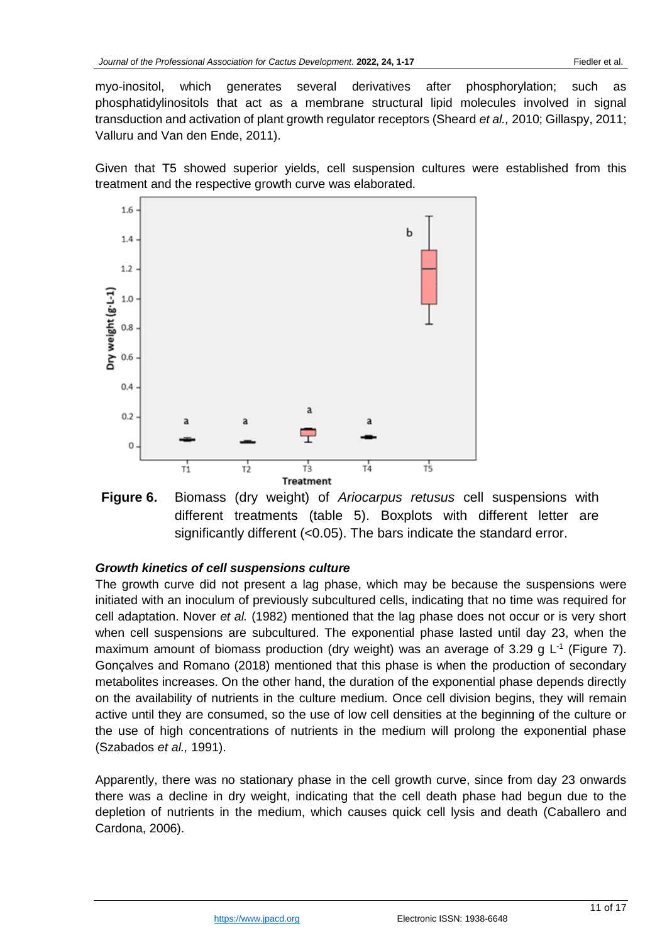myo-inositol, which generates several derivatives after phosphorylation; such as phosphatidylinositols that act as a membrane structural lipid molecules involved in signal transduction and activation of plant growth regulator receptors (Sheard *et al.,* 2010; Gillaspy, 2011; Valluru and Van den Ende, 2011).

Given that T5 showed superior yields, cell suspension cultures were established from this treatment and the respective growth curve was elaborated.



**Figure 6.** Biomass (dry weight) of *Ariocarpus retusus* cell suspensions with different treatments (table 5). Boxplots with different letter are significantly different (<0.05). The bars indicate the standard error.

# *Growth kinetics of cell suspensions culture*

The growth curve did not present a lag phase, which may be because the suspensions were initiated with an inoculum of previously subcultured cells, indicating that no time was required for cell adaptation. Nover *et al.* (1982) mentioned that the lag phase does not occur or is very short when cell suspensions are subcultured. The exponential phase lasted until day 23, when the maximum amount of biomass production (dry weight) was an average of 3.29 g  $L^1$  (Figure 7). Gonçalves and Romano (2018) mentioned that this phase is when the production of secondary metabolites increases. On the other hand, the duration of the exponential phase depends directly on the availability of nutrients in the culture medium. Once cell division begins, they will remain active until they are consumed, so the use of low cell densities at the beginning of the culture or the use of high concentrations of nutrients in the medium will prolong the exponential phase (Szabados *et al.,* 1991).

Apparently, there was no stationary phase in the cell growth curve, since from day 23 onwards there was a decline in dry weight, indicating that the cell death phase had begun due to the depletion of nutrients in the medium, which causes quick cell lysis and death (Caballero and Cardona, 2006).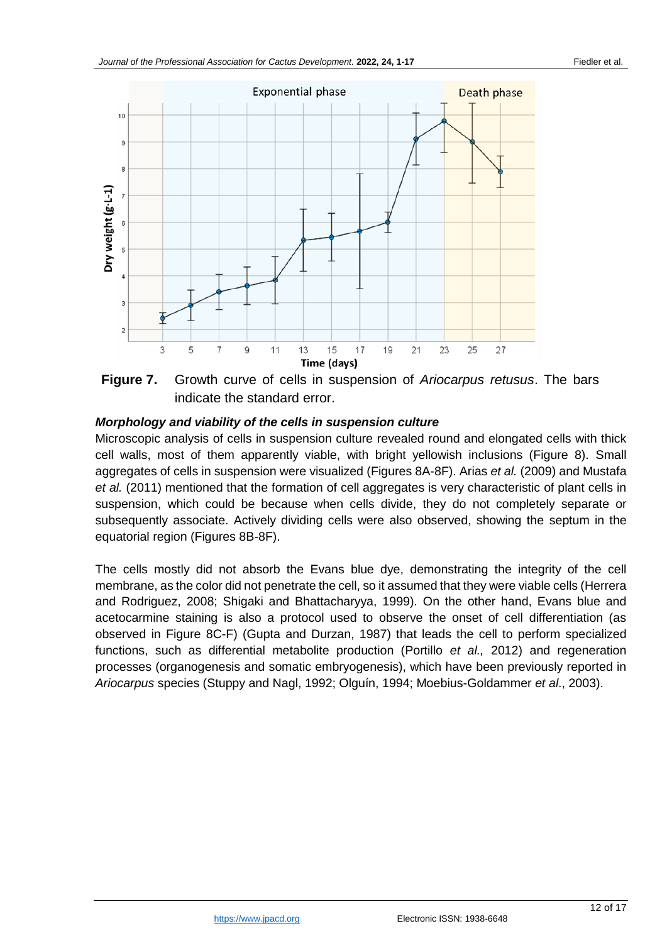

**Figure 7.** Growth curve of cells in suspension of *Ariocarpus retusus*. The bars indicate the standard error.

### *Morphology and viability of the cells in suspension culture*

Microscopic analysis of cells in suspension culture revealed round and elongated cells with thick cell walls, most of them apparently viable, with bright yellowish inclusions (Figure 8). Small aggregates of cells in suspension were visualized (Figures 8A-8F). Arias *et al.* (2009) and Mustafa *et al.* (2011) mentioned that the formation of cell aggregates is very characteristic of plant cells in suspension, which could be because when cells divide, they do not completely separate or subsequently associate. Actively dividing cells were also observed, showing the septum in the equatorial region (Figures 8B-8F).

The cells mostly did not absorb the Evans blue dye, demonstrating the integrity of the cell membrane, as the color did not penetrate the cell, so it assumed that they were viable cells (Herrera and Rodriguez, 2008; Shigaki and Bhattacharyya, 1999). On the other hand, Evans blue and acetocarmine staining is also a protocol used to observe the onset of cell differentiation (as observed in Figure 8C-F) (Gupta and Durzan, 1987) that leads the cell to perform specialized functions, such as differential metabolite production (Portillo *et al.,* 2012) and regeneration processes (organogenesis and somatic embryogenesis), which have been previously reported in *Ariocarpus* species (Stuppy and Nagl, 1992; Olguín, 1994; Moebius-Goldammer *et al*., 2003).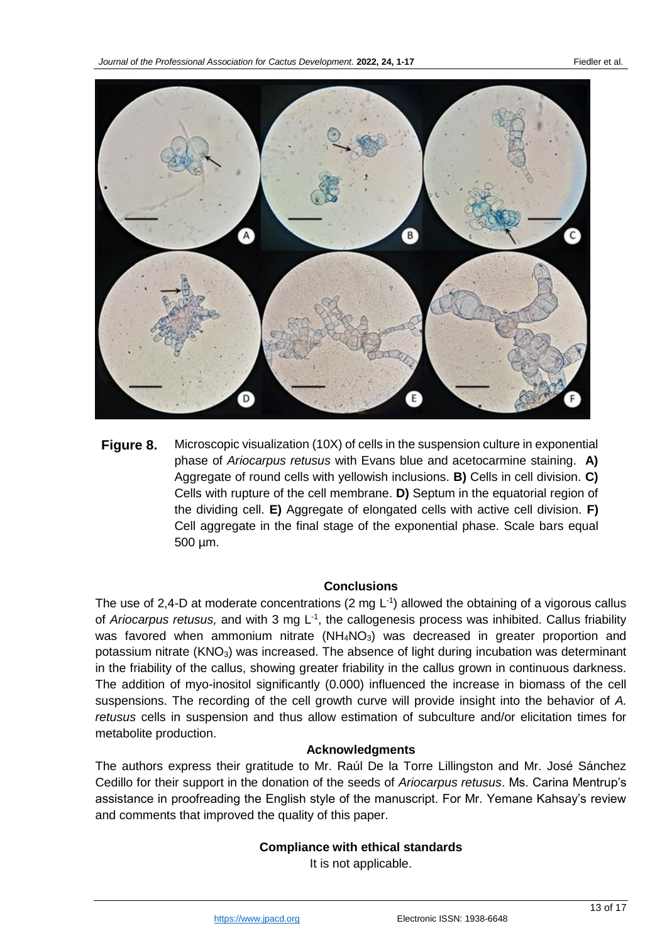

**Figure 8.** Microscopic visualization (10X) of cells in the suspension culture in exponential phase of *Ariocarpus retusus* with Evans blue and acetocarmine staining. **A)** Aggregate of round cells with yellowish inclusions. **B)** Cells in cell division. **C)** Cells with rupture of the cell membrane. **D)** Septum in the equatorial region of the dividing cell. **E)** Aggregate of elongated cells with active cell division. **F)** Cell aggregate in the final stage of the exponential phase. Scale bars equal 500 µm.

#### **Conclusions**

The use of 2,4-D at moderate concentrations (2 mg  $L^{-1}$ ) allowed the obtaining of a vigorous callus of Ariocarpus retusus, and with 3 mg L<sup>-1</sup>, the callogenesis process was inhibited. Callus friability was favored when ammonium nitrate  $(NH_4NO_3)$  was decreased in greater proportion and potassium nitrate (KNO<sub>3</sub>) was increased. The absence of light during incubation was determinant in the friability of the callus, showing greater friability in the callus grown in continuous darkness. The addition of myo-inositol significantly (0.000) influenced the increase in biomass of the cell suspensions. The recording of the cell growth curve will provide insight into the behavior of *A. retusus* cells in suspension and thus allow estimation of subculture and/or elicitation times for metabolite production.

#### **Acknowledgments**

The authors express their gratitude to Mr. Raúl De la Torre Lillingston and Mr. José Sánchez Cedillo for their support in the donation of the seeds of *Ariocarpus retusus*. Ms. Carina Mentrup's assistance in proofreading the English style of the manuscript. For Mr. Yemane Kahsay's review and comments that improved the quality of this paper.

### **Compliance with ethical standards**

It is not applicable.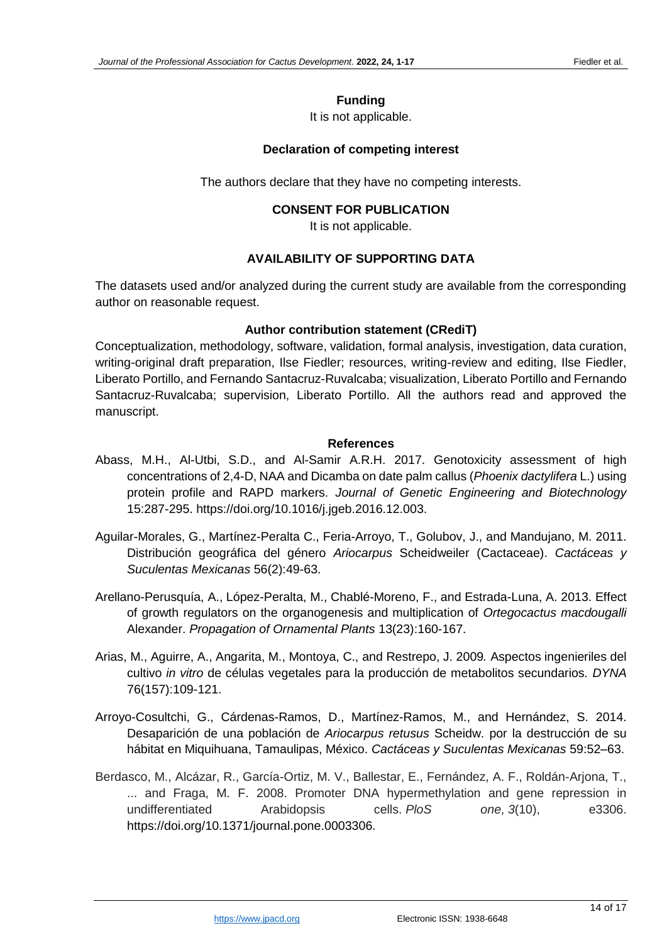## **Funding**

It is not applicable.

# **Declaration of competing interest**

The authors declare that they have no competing interests.

## **CONSENT FOR PUBLICATION**

It is not applicable.

# **AVAILABILITY OF SUPPORTING DATA**

The datasets used and/or analyzed during the current study are available from the corresponding author on reasonable request.

### **Author contribution statement (CRediT)**

Conceptualization, methodology, software, validation, formal analysis, investigation, data curation, writing-original draft preparation, Ilse Fiedler; resources, writing-review and editing, Ilse Fiedler, Liberato Portillo, and Fernando Santacruz-Ruvalcaba; visualization, Liberato Portillo and Fernando Santacruz-Ruvalcaba; supervision, Liberato Portillo. All the authors read and approved the manuscript.

#### **References**

- Abass, M.H., Al-Utbi, S.D., and Al-Samir A.R.H. 2017. Genotoxicity assessment of high concentrations of 2,4-D, NAA and Dicamba on date palm callus (*Phoenix dactylifera* L.) using protein profile and RAPD markers. *Journal of Genetic Engineering and Biotechnology*  15:287-295. https://doi.org/10.1016/j.jgeb.2016.12.003.
- Aguilar-Morales, G., Martínez-Peralta C., Feria-Arroyo, T., Golubov, J., and Mandujano, M. 2011. Distribución geográfica del género *Ariocarpus* Scheidweiler (Cactaceae). *Cactáceas y Suculentas Mexicanas* 56(2):49-63.
- Arellano-Perusquía, A., López-Peralta, M., Chablé-Moreno, F., and Estrada-Luna, A. 2013. Effect of growth regulators on the organogenesis and multiplication of *Ortegocactus macdougalli* Alexander. *Propagation of Ornamental Plants* 13(23):160-167.
- Arias, M., Aguirre, A., Angarita, M., Montoya, C., and Restrepo, J. 2009*.* Aspectos ingenieriles del cultivo *in vitro* de células vegetales para la producción de metabolitos secundarios*. DYNA* 76(157):109-121.
- Arroyo-Cosultchi, G., Cárdenas-Ramos, D., Martínez-Ramos, M., and Hernández, S. 2014. Desaparición de una población de *Ariocarpus retusus* Scheidw. por la destrucción de su hábitat en Miquihuana, Tamaulipas, México. *Cactáceas y Suculentas Mexicanas* 59:52–63.
- Berdasco, M., Alcázar, R., García-Ortiz, M. V., Ballestar, E., Fernández, A. F., Roldán-Arjona, T., ... and Fraga, M. F. 2008. Promoter DNA hypermethylation and gene repression in undifferentiated Arabidopsis cells. *PloS one*, *3*(10), e3306. https://doi.org/10.1371/journal.pone.0003306.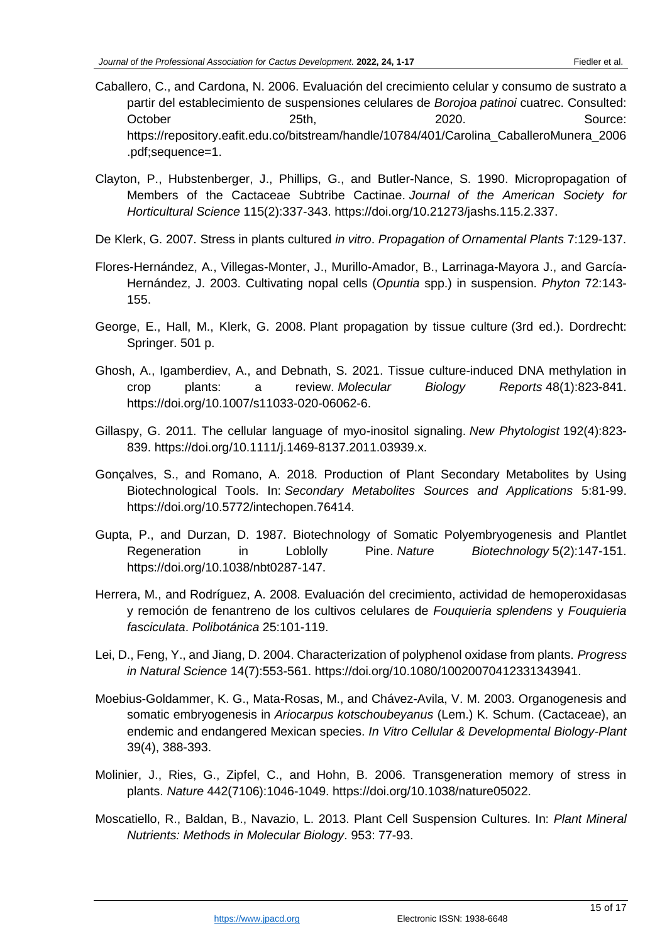- Caballero, C., and Cardona, N. 2006. Evaluación del crecimiento celular y consumo de sustrato a partir del establecimiento de suspensiones celulares de *Borojoa patinoi* cuatrec. Consulted: October 25th, 2020. 2020. https://repository.eafit.edu.co/bitstream/handle/10784/401/Carolina\_CaballeroMunera\_2006 .pdf;sequence=1.
- Clayton, P., Hubstenberger, J., Phillips, G., and Butler-Nance, S. 1990. Micropropagation of Members of the Cactaceae Subtribe Cactinae. *Journal of the American Society for Horticultural Science* 115(2):337-343. https://doi.org/10.21273/jashs.115.2.337.
- De Klerk, G. 2007. Stress in plants cultured *in vitro*. *Propagation of Ornamental Plants* 7:129-137.
- Flores-Hernández, A., Villegas-Monter, J., Murillo-Amador, B., Larrinaga-Mayora J., and García-Hernández, J. 2003. Cultivating nopal cells (*Opuntia* spp.) in suspension. *Phyton* 72:143- 155.
- George, E., Hall, M., Klerk, G. 2008. Plant propagation by tissue culture (3rd ed.). Dordrecht: Springer. 501 p.
- Ghosh, A., Igamberdiev, A., and Debnath, S. 2021. Tissue culture-induced DNA methylation in crop plants: a review. *Molecular Biology Reports* 48(1):823-841. https://doi.org/10.1007/s11033-020-06062-6.
- Gillaspy, G. 2011. The cellular language of myo-inositol signaling. *New Phytologist* 192(4):823- 839. https://doi.org/10.1111/j.1469-8137.2011.03939.x.
- Gonçalves, S., and Romano, A. 2018. Production of Plant Secondary Metabolites by Using Biotechnological Tools. In: *Secondary Metabolites Sources and Applications* 5:81-99. https://doi.org/10.5772/intechopen.76414.
- Gupta, P., and Durzan, D. 1987. Biotechnology of Somatic Polyembryogenesis and Plantlet Regeneration in Loblolly Pine. *Nature Biotechnology* 5(2):147-151. https://doi.org/10.1038/nbt0287-147.
- Herrera, M., and Rodríguez, A. 2008. Evaluación del crecimiento, actividad de hemoperoxidasas y remoción de fenantreno de los cultivos celulares de *Fouquieria splendens* y *Fouquieria fasciculata*. *Polibotánica* 25:101-119.
- Lei, D., Feng, Y., and Jiang, D. 2004. Characterization of polyphenol oxidase from plants. *Progress in Natural Science* 14(7):553-561. https://doi.org/10.1080/10020070412331343941.
- Moebius-Goldammer, K. G., Mata-Rosas, M., and Chávez-Avila, V. M. 2003. Organogenesis and somatic embryogenesis in *Ariocarpus kotschoubeyanus* (Lem.) K. Schum. (Cactaceae), an endemic and endangered Mexican species. *In Vitro Cellular & Developmental Biology-Plant* 39(4), 388-393.
- Molinier, J., Ries, G., Zipfel, C., and Hohn, B. 2006. Transgeneration memory of stress in plants. *Nature* 442(7106):1046-1049. https://doi.org/10.1038/nature05022.
- Moscatiello, R., Baldan, B., Navazio, L. 2013. Plant Cell Suspension Cultures. In: *Plant Mineral Nutrients: Methods in Molecular Biology*. 953: 77-93.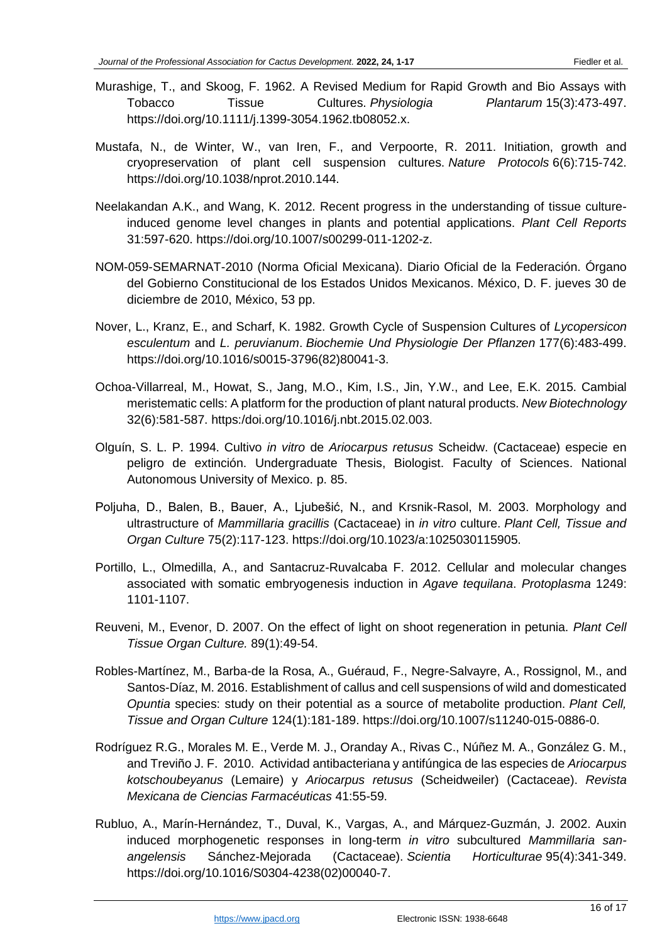- Murashige, T., and Skoog, F. 1962. A Revised Medium for Rapid Growth and Bio Assays with Tobacco Tissue Cultures. *Physiologia Plantarum* 15(3):473-497. https://doi.org/10.1111/j.1399-3054.1962.tb08052.x.
- Mustafa, N., de Winter, W., van Iren, F., and Verpoorte, R. 2011. Initiation, growth and cryopreservation of plant cell suspension cultures. *Nature Protocols* 6(6):715-742. https://doi.org/10.1038/nprot.2010.144.
- Neelakandan A.K., and Wang, K. 2012. Recent progress in the understanding of tissue cultureinduced genome level changes in plants and potential applications. *Plant Cell Reports* 31:597-620. https://doi.org/10.1007/s00299-011-1202-z.
- NOM-059-SEMARNAT-2010 (Norma Oficial Mexicana). Diario Oficial de la Federación. Órgano del Gobierno Constitucional de los Estados Unidos Mexicanos. México, D. F. jueves 30 de diciembre de 2010, México, 53 pp.
- Nover, L., Kranz, E., and Scharf, K. 1982. Growth Cycle of Suspension Cultures of *Lycopersicon esculentum* and *L. peruvianum*. *Biochemie Und Physiologie Der Pflanzen* 177(6):483-499. https://doi.org/10.1016/s0015-3796(82)80041-3.
- Ochoa-Villarreal, M., Howat, S., Jang, M.O., Kim, I.S., Jin, Y.W., and Lee, E.K. 2015. Cambial meristematic cells: A platform for the production of plant natural products. *New Biotechnology* 32(6):581-587. https:/doi.org/10.1016/j.nbt.2015.02.003.
- Olguín, S. L. P. 1994. Cultivo *in vitro* de *Ariocarpus retusus* Scheidw. (Cactaceae) especie en peligro de extinción. Undergraduate Thesis, Biologist. Faculty of Sciences. National Autonomous University of Mexico. p. 85.
- Poljuha, D., Balen, B., Bauer, A., Ljubešić, N., and Krsnik-Rasol, M. 2003. Morphology and ultrastructure of *Mammillaria gracillis* (Cactaceae) in *in vitro* culture. *Plant Cell, Tissue and Organ Culture* 75(2):117-123. https://doi.org/10.1023/a:1025030115905.
- Portillo, L., Olmedilla, A., and Santacruz-Ruvalcaba F. 2012. Cellular and molecular changes associated with somatic embryogenesis induction in *Agave tequilana*. *Protoplasma* 1249: 1101-1107.
- Reuveni, M., Evenor, D. 2007. On the effect of light on shoot regeneration in petunia. *Plant Cell Tissue Organ Culture.* 89(1):49-54.
- Robles-Martínez, M., Barba-de la Rosa, A., Guéraud, F., Negre-Salvayre, A., Rossignol, M., and Santos-Díaz, M. 2016. Establishment of callus and cell suspensions of wild and domesticated *Opuntia* species: study on their potential as a source of metabolite production. *Plant Cell, Tissue and Organ Culture* 124(1):181-189. https://doi.org/10.1007/s11240-015-0886-0.
- Rodríguez R.G., Morales M. E., Verde M. J., Oranday A., Rivas C., Núñez M. A., González G. M., and Treviño J. F. 2010. Actividad antibacteriana y antifúngica de las especies de *Ariocarpus kotschoubeyanus* (Lemaire) y *Ariocarpus retusus* (Scheidweiler) (Cactaceae). *Revista Mexicana de Ciencias Farmacéuticas* 41:55-59.
- Rubluo, A., Marín-Hernández, T., Duval, K., Vargas, A., and Márquez-Guzmán, J. 2002. Auxin induced morphogenetic responses in long-term *in vitro* subcultured *Mammillaria sanangelensis* Sánchez-Mejorada (Cactaceae). *Scientia Horticulturae* 95(4):341-349. https://doi.org/10.1016/S0304-4238(02)00040-7.